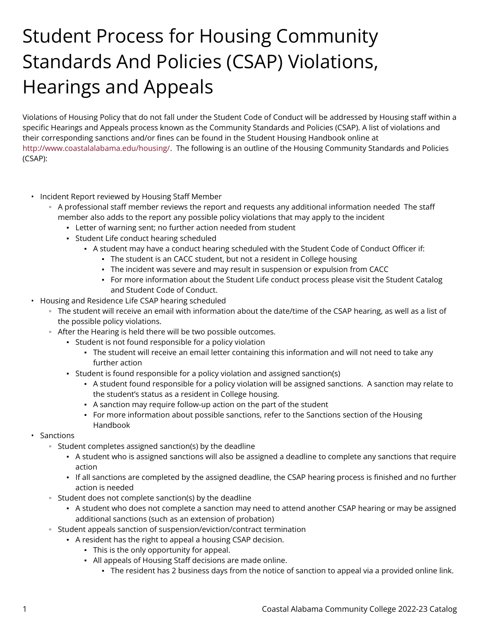## Student Process for Housing Community Standards And Policies (CSAP) Violations, Hearings and Appeals

Violations of Housing Policy that do not fall under the Student Code of Conduct will be addressed by Housing staff within a specific Hearings and Appeals process known as the Community Standards and Policies (CSAP). A list of violations and their corresponding sanctions and/or fines can be found in the Student Housing Handbook online at <http://www.coastalalabama.edu/housing/>. The following is an outline of the Housing Community Standards and Policies (CSAP):

- Incident Report reviewed by Housing Staff Member
	- A professional staff member reviews the report and requests any additional information needed The staff member also adds to the report any possible policy violations that may apply to the incident
		- **Letter of warning sent; no further action needed from student**
		- Student Life conduct hearing scheduled
			- A student may have a conduct hearing scheduled with the Student Code of Conduct Officer if:
				- The student is an CACC student, but not a resident in College housing
				- The incident was severe and may result in suspension or expulsion from CACC
				- For more information about the Student Life conduct process please visit the Student Catalog and Student Code of Conduct.
- Housing and Residence Life CSAP hearing scheduled
	- The student will receive an email with information about the date/time of the CSAP hearing, as well as a list of the possible policy violations.
	- After the Hearing is held there will be two possible outcomes.
		- Student is not found responsible for a policy violation
			- The student will receive an email letter containing this information and will not need to take any further action
		- Student is found responsible for a policy violation and assigned sanction(s)
			- A student found responsible for a policy violation will be assigned sanctions. A sanction may relate to the student's status as a resident in College housing.
			- A sanction may require follow-up action on the part of the student
			- For more information about possible sanctions, refer to the Sanctions section of the Housing Handbook
- Sanctions
	- Student completes assigned sanction(s) by the deadline
		- A student who is assigned sanctions will also be assigned a deadline to complete any sanctions that require action
		- If all sanctions are completed by the assigned deadline, the CSAP hearing process is finished and no further action is needed
	- Student does not complete sanction(s) by the deadline
		- A student who does not complete a sanction may need to attend another CSAP hearing or may be assigned additional sanctions (such as an extension of probation)
	- Student appeals sanction of suspension/eviction/contract termination
		- A resident has the right to appeal a housing CSAP decision.
			- This is the only opportunity for appeal.
			- All appeals of Housing Staff decisions are made online.
				- The resident has 2 business days from the notice of sanction to appeal via a provided online link.